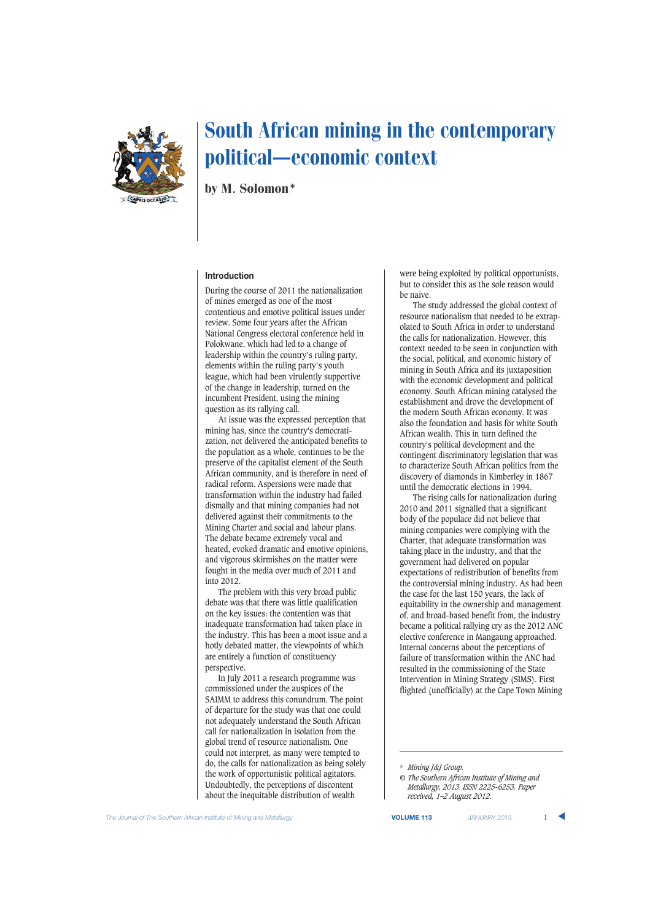

## South African mining in the contemporary political–economic context

by M. Solomon\*

## **Introduction**

During the course of 2011 the nationalization of mines emerged as one of the most contentious and emotive political issues under review. Some four years after the African National Congress electoral conference held in Polokwane, which had led to a change of leadership within the country's ruling party, elements within the ruling party's youth league, which had been virulently supportive of the change in leadership, turned on the incumbent President, using the mining question as its rallying call.

At issue was the expressed perception that mining has, since the country's democratization, not delivered the anticipated benefits to the population as a whole, continues to be the preserve of the capitalist element of the South African community, and is therefore in need of radical reform. Aspersions were made that transformation within the industry had failed dismally and that mining companies had not delivered against their commitments to the Mining Charter and social and labour plans. The debate became extremely vocal and heated, evoked dramatic and emotive opinions, and vigorous skirmishes on the matter were fought in the media over much of 2011 and into 2012.

The problem with this very broad public debate was that there was little qualification on the key issues: the contention was that inadequate transformation had taken place in the industry. This has been a moot issue and a hotly debated matter, the viewpoints of which are entirely a function of constituency perspective.

In July 2011 a research programme was commissioned under the auspices of the SAIMM to address this conundrum. The point of departure for the study was that one could not adequately understand the South African call for nationalization in isolation from the global trend of resource nationalism. One could not interpret, as many were tempted to do, the calls for nationalization as being solely the work of opportunistic political agitators. Undoubtedly, the perceptions of discontent about the inequitable distribution of wealth

were being exploited by political opportunists, but to consider this as the sole reason would be naive.

The study addressed the global context of resource nationalism that needed to be extrapolated to South Africa in order to understand the calls for nationalization. However, this context needed to be seen in conjunction with the social, political, and economic history of mining in South Africa and its juxtaposition with the economic development and political economy. South African mining catalysed the establishment and drove the development of the modern South African economy. It was also the foundation and basis for white South African wealth. This in turn defined the country's political development and the contingent discriminatory legislation that was to characterize South African politics from the discovery of diamonds in Kimberley in 1867 until the democratic elections in 1994.

The rising calls for nationalization during 2010 and 2011 signalled that a significant body of the populace did not believe that mining companies were complying with the Charter, that adequate transformation was taking place in the industry, and that the government had delivered on popular expectations of redistribution of benefits from the controversial mining industry. As had been the case for the last 150 years, the lack of equitability in the ownership and management of, and broad-based benefit from, the industry became a political rallying cry as the 2012 ANC elective conference in Mangaung approached. Internal concerns about the perceptions of failure of transformation within the ANC had resulted in the commissioning of the State Intervention in Mining Strategy (SIMS). First flighted (unofficially) at the Cape Town Mining

\* *Mining J&J Group.*

*<sup>©</sup> The Southern African Institute of Mining and Metallurgy, 2013. ISSN 2225-6253. Paper received, 1–2 August 2012.*